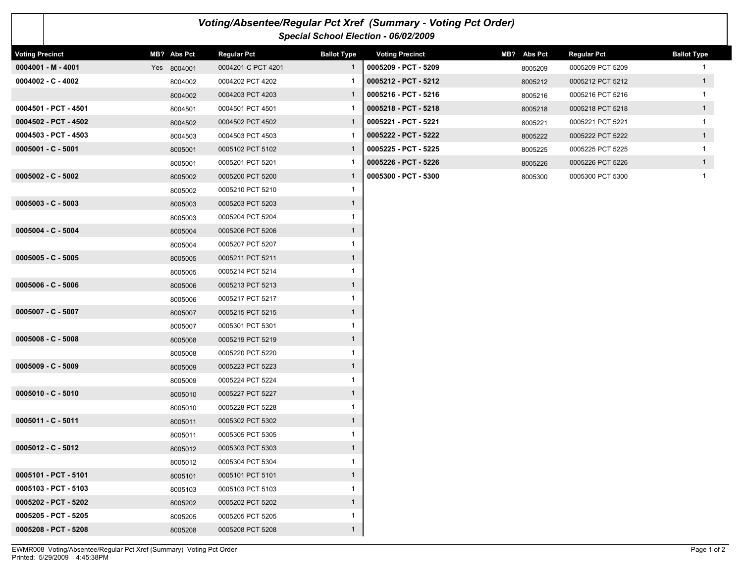|                        | Voting/Absentee/Regular Pct Xref (Summary - Voting Pct Order)<br>Special School Election - 06/02/2009 |             |                    |                    |                        |             |                    |                    |  |  |  |  |  |  |
|------------------------|-------------------------------------------------------------------------------------------------------|-------------|--------------------|--------------------|------------------------|-------------|--------------------|--------------------|--|--|--|--|--|--|
| <b>Voting Precinct</b> |                                                                                                       | MB? Abs Pct | <b>Regular Pct</b> | <b>Ballot Type</b> | <b>Voting Precinct</b> | MB? Abs Pct | <b>Regular Pct</b> | <b>Ballot Type</b> |  |  |  |  |  |  |
|                        | $0004001 - M - 4001$                                                                                  | Yes 8004001 | 0004201-C PCT 4201 | $\mathbf{1}$       | 0005209 - PCT - 5209   | 8005209     | 0005209 PCT 5209   | $\mathbf{1}$       |  |  |  |  |  |  |
|                        | $0004002 - C - 4002$                                                                                  | 8004002     | 0004202 PCT 4202   |                    | 0005212 - PCT - 5212   | 8005212     | 0005212 PCT 5212   | 1                  |  |  |  |  |  |  |
|                        |                                                                                                       | 8004002     | 0004203 PCT 4203   | $\mathbf{1}$       | 0005216 - PCT - 5216   | 8005216     | 0005216 PCT 5216   | $\mathbf 1$        |  |  |  |  |  |  |
|                        | 0004501 - PCT - 4501                                                                                  | 8004501     | 0004501 PCT 4501   |                    | 0005218 - PCT - 5218   | 8005218     | 0005218 PCT 5218   | 1                  |  |  |  |  |  |  |
|                        | 0004502 - PCT - 4502                                                                                  | 8004502     | 0004502 PCT 4502   | $\mathbf{1}$       | 0005221 - PCT - 5221   | 8005221     | 0005221 PCT 5221   | $\mathbf{1}$       |  |  |  |  |  |  |
|                        | 0004503 - PCT - 4503                                                                                  | 8004503     | 0004503 PCT 4503   |                    | 0005222 - PCT - 5222   | 8005222     | 0005222 PCT 5222   | 1                  |  |  |  |  |  |  |
|                        | $0005001 - C - 5001$                                                                                  | 8005001     | 0005102 PCT 5102   | $\mathbf{1}$       | 0005225 - PCT - 5225   | 8005225     | 0005225 PCT 5225   | $\mathbf{1}$       |  |  |  |  |  |  |
|                        |                                                                                                       | 8005001     | 0005201 PCT 5201   |                    | 0005226 - PCT - 5226   | 8005226     | 0005226 PCT 5226   | 1                  |  |  |  |  |  |  |
|                        | $0005002 - C - 5002$                                                                                  | 8005002     | 0005200 PCT 5200   | 1                  | 0005300 - PCT - 5300   | 8005300     | 0005300 PCT 5300   | $\mathbf{1}$       |  |  |  |  |  |  |
|                        |                                                                                                       | 8005002     | 0005210 PCT 5210   | $\mathbf{1}$       |                        |             |                    |                    |  |  |  |  |  |  |
|                        | $0005003 - C - 5003$                                                                                  | 8005003     | 0005203 PCT 5203   | $\mathbf{1}$       |                        |             |                    |                    |  |  |  |  |  |  |
|                        |                                                                                                       | 8005003     | 0005204 PCT 5204   | $\mathbf{1}$       |                        |             |                    |                    |  |  |  |  |  |  |
|                        | 0005004 - C - 5004                                                                                    | 8005004     | 0005206 PCT 5206   | $\mathbf{1}$       |                        |             |                    |                    |  |  |  |  |  |  |
|                        |                                                                                                       | 8005004     | 0005207 PCT 5207   | $\mathbf{1}$       |                        |             |                    |                    |  |  |  |  |  |  |
|                        | $0005005 - C - 5005$                                                                                  | 8005005     | 0005211 PCT 5211   | $\mathbf{1}$       |                        |             |                    |                    |  |  |  |  |  |  |
|                        |                                                                                                       | 8005005     | 0005214 PCT 5214   | 1                  |                        |             |                    |                    |  |  |  |  |  |  |
|                        | $0005006 - C - 5006$                                                                                  | 8005006     | 0005213 PCT 5213   | $\mathbf{1}$       |                        |             |                    |                    |  |  |  |  |  |  |
|                        |                                                                                                       | 8005006     | 0005217 PCT 5217   | 1                  |                        |             |                    |                    |  |  |  |  |  |  |
|                        | 0005007 - C - 5007                                                                                    | 8005007     | 0005215 PCT 5215   | $\mathbf{1}$       |                        |             |                    |                    |  |  |  |  |  |  |
|                        |                                                                                                       | 8005007     | 0005301 PCT 5301   | $\mathbf{1}$       |                        |             |                    |                    |  |  |  |  |  |  |
|                        | $0005008 - C - 5008$                                                                                  | 8005008     | 0005219 PCT 5219   | $\mathbf{1}$       |                        |             |                    |                    |  |  |  |  |  |  |
|                        |                                                                                                       | 8005008     | 0005220 PCT 5220   | $\mathbf{1}$       |                        |             |                    |                    |  |  |  |  |  |  |
|                        | 0005009 - C - 5009                                                                                    | 8005009     | 0005223 PCT 5223   | $\mathbf{1}$       |                        |             |                    |                    |  |  |  |  |  |  |
|                        |                                                                                                       | 8005009     | 0005224 PCT 5224   | $\mathbf{1}$       |                        |             |                    |                    |  |  |  |  |  |  |
|                        | 0005010 - C - 5010                                                                                    | 8005010     | 0005227 PCT 5227   | $\mathbf{1}$       |                        |             |                    |                    |  |  |  |  |  |  |
|                        |                                                                                                       | 8005010     | 0005228 PCT 5228   | 1                  |                        |             |                    |                    |  |  |  |  |  |  |
|                        | 0005011 - C - 5011                                                                                    | 8005011     | 0005302 PCT 5302   | $\mathbf{1}$       |                        |             |                    |                    |  |  |  |  |  |  |
|                        |                                                                                                       | 8005011     | 0005305 PCT 5305   | $\mathbf{1}$       |                        |             |                    |                    |  |  |  |  |  |  |
|                        | $0005012 - C - 5012$                                                                                  | 8005012     | 0005303 PCT 5303   | $\mathbf{1}$       |                        |             |                    |                    |  |  |  |  |  |  |
|                        |                                                                                                       | 8005012     | 0005304 PCT 5304   | $\mathbf{1}$       |                        |             |                    |                    |  |  |  |  |  |  |
|                        | 0005101 - PCT - 5101                                                                                  | 8005101     | 0005101 PCT 5101   | $\mathbf{1}$       |                        |             |                    |                    |  |  |  |  |  |  |
|                        | 0005103 - PCT - 5103                                                                                  | 8005103     | 0005103 PCT 5103   | $\mathbf{1}$       |                        |             |                    |                    |  |  |  |  |  |  |
|                        | 0005202 - PCT - 5202                                                                                  | 8005202     | 0005202 PCT 5202   | $\mathbf{1}$       |                        |             |                    |                    |  |  |  |  |  |  |
|                        | 0005205 - PCT - 5205                                                                                  | 8005205     | 0005205 PCT 5205   | $\mathbf{1}$       |                        |             |                    |                    |  |  |  |  |  |  |
|                        | 0005208 - PCT - 5208                                                                                  | 8005208     | 0005208 PCT 5208   | $\mathbf{1}$       |                        |             |                    |                    |  |  |  |  |  |  |